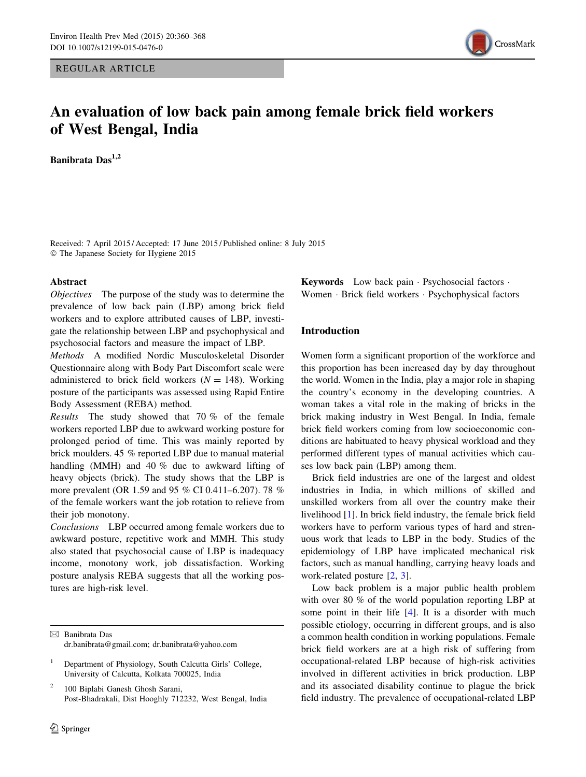REGULAR ARTICLE



# An evaluation of low back pain among female brick field workers of West Bengal, India

Banibrata Das<sup>1,2</sup>

Received: 7 April 2015 / Accepted: 17 June 2015 / Published online: 8 July 2015  $©$  The Japanese Society for Hygiene 2015

### Abstract

Objectives The purpose of the study was to determine the prevalence of low back pain (LBP) among brick field workers and to explore attributed causes of LBP, investigate the relationship between LBP and psychophysical and psychosocial factors and measure the impact of LBP.

Methods A modified Nordic Musculoskeletal Disorder Questionnaire along with Body Part Discomfort scale were administered to brick field workers  $(N = 148)$ . Working posture of the participants was assessed using Rapid Entire Body Assessment (REBA) method.

Results The study showed that 70 % of the female workers reported LBP due to awkward working posture for prolonged period of time. This was mainly reported by brick moulders. 45 % reported LBP due to manual material handling (MMH) and 40 % due to awkward lifting of heavy objects (brick). The study shows that the LBP is more prevalent (OR 1.59 and 95 % CI 0.411–6.207). 78 % of the female workers want the job rotation to relieve from their job monotony.

Conclusions LBP occurred among female workers due to awkward posture, repetitive work and MMH. This study also stated that psychosocial cause of LBP is inadequacy income, monotony work, job dissatisfaction. Working posture analysis REBA suggests that all the working postures are high-risk level.

2 100 Biplabi Ganesh Ghosh Sarani, Post-Bhadrakali, Dist Hooghly 712232, West Bengal, India Keywords Low back pain · Psychosocial factors · Women - Brick field workers - Psychophysical factors

# Introduction

Women form a significant proportion of the workforce and this proportion has been increased day by day throughout the world. Women in the India, play a major role in shaping the country's economy in the developing countries. A woman takes a vital role in the making of bricks in the brick making industry in West Bengal. In India, female brick field workers coming from low socioeconomic conditions are habituated to heavy physical workload and they performed different types of manual activities which causes low back pain (LBP) among them.

Brick field industries are one of the largest and oldest industries in India, in which millions of skilled and unskilled workers from all over the country make their livelihood [[1\]](#page-8-0). In brick field industry, the female brick field workers have to perform various types of hard and strenuous work that leads to LBP in the body. Studies of the epidemiology of LBP have implicated mechanical risk factors, such as manual handling, carrying heavy loads and work-related posture [[2,](#page-8-0) [3](#page-8-0)].

Low back problem is a major public health problem with over 80 % of the world population reporting LBP at some point in their life [[4\]](#page-8-0). It is a disorder with much possible etiology, occurring in different groups, and is also a common health condition in working populations. Female brick field workers are at a high risk of suffering from occupational-related LBP because of high-risk activities involved in different activities in brick production. LBP and its associated disability continue to plague the brick field industry. The prevalence of occupational-related LBP

 $\boxtimes$  Banibrata Das dr.banibrata@gmail.com; dr.banibrata@yahoo.com

<sup>1</sup> Department of Physiology, South Calcutta Girls' College, University of Calcutta, Kolkata 700025, India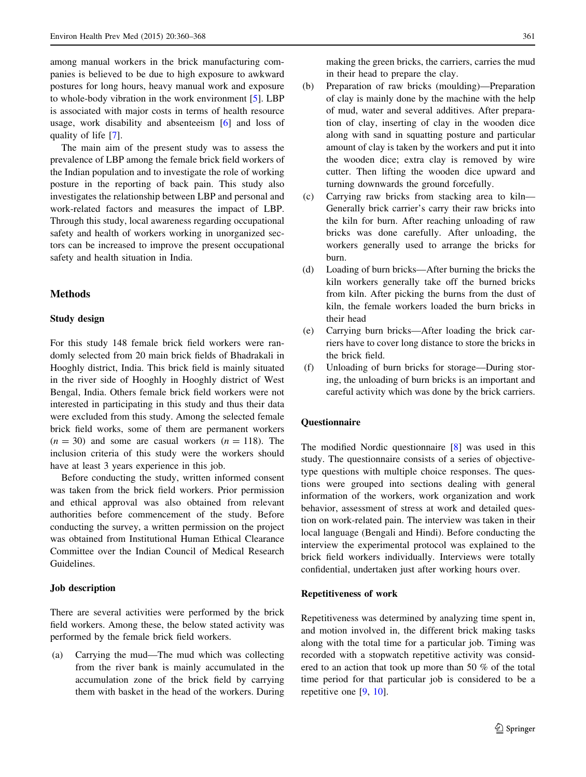among manual workers in the brick manufacturing companies is believed to be due to high exposure to awkward postures for long hours, heavy manual work and exposure to whole-body vibration in the work environment [\[5](#page-8-0)]. LBP is associated with major costs in terms of health resource usage, work disability and absenteeism [[6\]](#page-8-0) and loss of quality of life [[7\]](#page-8-0).

The main aim of the present study was to assess the prevalence of LBP among the female brick field workers of the Indian population and to investigate the role of working posture in the reporting of back pain. This study also investigates the relationship between LBP and personal and work-related factors and measures the impact of LBP. Through this study, local awareness regarding occupational safety and health of workers working in unorganized sectors can be increased to improve the present occupational safety and health situation in India.

## Methods

#### Study design

For this study 148 female brick field workers were randomly selected from 20 main brick fields of Bhadrakali in Hooghly district, India. This brick field is mainly situated in the river side of Hooghly in Hooghly district of West Bengal, India. Others female brick field workers were not interested in participating in this study and thus their data were excluded from this study. Among the selected female brick field works, some of them are permanent workers  $(n = 30)$  and some are casual workers  $(n = 118)$ . The inclusion criteria of this study were the workers should have at least 3 years experience in this job.

Before conducting the study, written informed consent was taken from the brick field workers. Prior permission and ethical approval was also obtained from relevant authorities before commencement of the study. Before conducting the survey, a written permission on the project was obtained from Institutional Human Ethical Clearance Committee over the Indian Council of Medical Research Guidelines.

#### Job description

There are several activities were performed by the brick field workers. Among these, the below stated activity was performed by the female brick field workers.

(a) Carrying the mud—The mud which was collecting from the river bank is mainly accumulated in the accumulation zone of the brick field by carrying them with basket in the head of the workers. During

making the green bricks, the carriers, carries the mud in their head to prepare the clay.

- (b) Preparation of raw bricks (moulding)—Preparation of clay is mainly done by the machine with the help of mud, water and several additives. After preparation of clay, inserting of clay in the wooden dice along with sand in squatting posture and particular amount of clay is taken by the workers and put it into the wooden dice; extra clay is removed by wire cutter. Then lifting the wooden dice upward and turning downwards the ground forcefully.
- (c) Carrying raw bricks from stacking area to kiln— Generally brick carrier's carry their raw bricks into the kiln for burn. After reaching unloading of raw bricks was done carefully. After unloading, the workers generally used to arrange the bricks for burn.
- (d) Loading of burn bricks—After burning the bricks the kiln workers generally take off the burned bricks from kiln. After picking the burns from the dust of kiln, the female workers loaded the burn bricks in their head
- (e) Carrying burn bricks—After loading the brick carriers have to cover long distance to store the bricks in the brick field.
- (f) Unloading of burn bricks for storage—During storing, the unloading of burn bricks is an important and careful activity which was done by the brick carriers.

# **Ouestionnaire**

The modified Nordic questionnaire [\[8](#page-8-0)] was used in this study. The questionnaire consists of a series of objectivetype questions with multiple choice responses. The questions were grouped into sections dealing with general information of the workers, work organization and work behavior, assessment of stress at work and detailed question on work-related pain. The interview was taken in their local language (Bengali and Hindi). Before conducting the interview the experimental protocol was explained to the brick field workers individually. Interviews were totally confidential, undertaken just after working hours over.

#### Repetitiveness of work

Repetitiveness was determined by analyzing time spent in, and motion involved in, the different brick making tasks along with the total time for a particular job. Timing was recorded with a stopwatch repetitive activity was considered to an action that took up more than 50 % of the total time period for that particular job is considered to be a repetitive one [[9](#page-8-0), [10](#page-8-0)].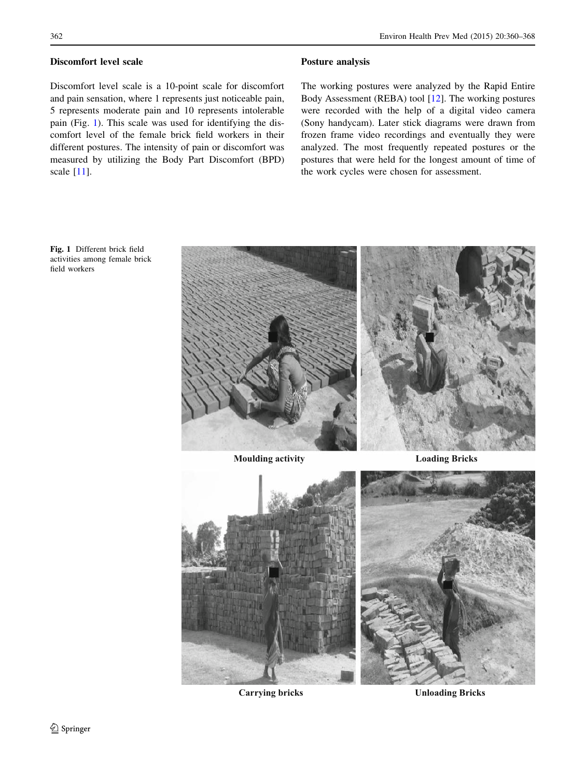## Discomfort level scale

#### Posture analysis

Discomfort level scale is a 10-point scale for discomfort and pain sensation, where 1 represents just noticeable pain, 5 represents moderate pain and 10 represents intolerable pain (Fig. 1). This scale was used for identifying the discomfort level of the female brick field workers in their different postures. The intensity of pain or discomfort was measured by utilizing the Body Part Discomfort (BPD) scale [[11\]](#page-8-0).

The working postures were analyzed by the Rapid Entire Body Assessment (REBA) tool [\[12](#page-8-0)]. The working postures were recorded with the help of a digital video camera (Sony handycam). Later stick diagrams were drawn from frozen frame video recordings and eventually they were analyzed. The most frequently repeated postures or the postures that were held for the longest amount of time of the work cycles were chosen for assessment.



**Moulding activity Loading Bricks** 





**Carrying bricks Unloading Bricks** 

Fig. 1 Different brick field activities among female brick field workers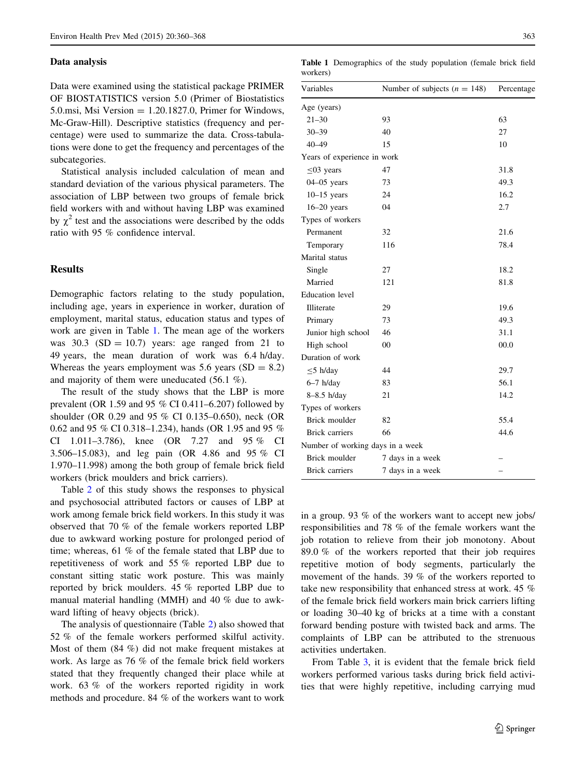#### <span id="page-3-0"></span>Data analysis

Data were examined using the statistical package PRIMER OF BIOSTATISTICS version 5.0 (Primer of Biostatistics 5.0.msi, Msi Version  $= 1.20.1827.0$ , Primer for Windows, Mc-Graw-Hill). Descriptive statistics (frequency and percentage) were used to summarize the data. Cross-tabulations were done to get the frequency and percentages of the subcategories.

Statistical analysis included calculation of mean and standard deviation of the various physical parameters. The association of LBP between two groups of female brick field workers with and without having LBP was examined by  $\chi^2$  test and the associations were described by the odds ratio with 95 % confidence interval.

# **Results**

Demographic factors relating to the study population, including age, years in experience in worker, duration of employment, marital status, education status and types of work are given in Table 1. The mean age of the workers was  $30.3$  (SD = 10.7) years: age ranged from 21 to 49 years, the mean duration of work was 6.4 h/day. Whereas the years employment was 5.6 years  $(SD = 8.2)$ and majority of them were uneducated (56.1 %).

The result of the study shows that the LBP is more prevalent (OR 1.59 and 95 % CI 0.411–6.207) followed by shoulder (OR 0.29 and 95 % CI 0.135–0.650), neck (OR 0.62 and 95 % CI 0.318–1.234), hands (OR 1.95 and 95 % CI 1.011–3.786), knee (OR 7.27 and 95 % CI 3.506–15.083), and leg pain (OR 4.86 and 95 % CI 1.970–11.998) among the both group of female brick field workers (brick moulders and brick carriers).

Table [2](#page-4-0) of this study shows the responses to physical and psychosocial attributed factors or causes of LBP at work among female brick field workers. In this study it was observed that 70 % of the female workers reported LBP due to awkward working posture for prolonged period of time; whereas, 61 % of the female stated that LBP due to repetitiveness of work and 55 % reported LBP due to constant sitting static work posture. This was mainly reported by brick moulders. 45 % reported LBP due to manual material handling (MMH) and 40 % due to awkward lifting of heavy objects (brick).

The analysis of questionnaire (Table [2\)](#page-4-0) also showed that 52 % of the female workers performed skilful activity. Most of them (84 %) did not make frequent mistakes at work. As large as 76 % of the female brick field workers stated that they frequently changed their place while at work. 63 % of the workers reported rigidity in work methods and procedure. 84 % of the workers want to work

Table 1 Demographics of the study population (female brick field workers)

| Variables                        | Number of subjects ( $n = 148$ ) | Percentage |  |  |  |  |  |  |
|----------------------------------|----------------------------------|------------|--|--|--|--|--|--|
| Age (years)                      |                                  |            |  |  |  |  |  |  |
| $21 - 30$                        | 93                               | 63         |  |  |  |  |  |  |
| $30 - 39$                        | 40                               | 27         |  |  |  |  |  |  |
| $40 - 49$                        | 15                               | 10         |  |  |  |  |  |  |
| Years of experience in work      |                                  |            |  |  |  |  |  |  |
| $\leq 03$ years                  | 47                               | 31.8       |  |  |  |  |  |  |
| $04-05$ years                    | 73                               | 49.3       |  |  |  |  |  |  |
| $10-15$ years                    | 24                               | 16.2       |  |  |  |  |  |  |
| $16-20$ years                    | 04                               | 2.7        |  |  |  |  |  |  |
| Types of workers                 |                                  |            |  |  |  |  |  |  |
| Permanent                        | 32                               | 21.6       |  |  |  |  |  |  |
| Temporary                        | 116                              | 78.4       |  |  |  |  |  |  |
| Marital status                   |                                  |            |  |  |  |  |  |  |
| Single                           | 27                               | 18.2       |  |  |  |  |  |  |
| Married                          | 121                              | 81.8       |  |  |  |  |  |  |
| <b>Education</b> level           |                                  |            |  |  |  |  |  |  |
| Illiterate                       | 29                               | 19.6       |  |  |  |  |  |  |
| Primary                          | 73                               | 49.3       |  |  |  |  |  |  |
| Junior high school               | 46                               | 31.1       |  |  |  |  |  |  |
| High school                      | 00                               | 00.0       |  |  |  |  |  |  |
| Duration of work                 |                                  |            |  |  |  |  |  |  |
| $\leq$ 5 h/day                   | 44                               | 29.7       |  |  |  |  |  |  |
| $6-7$ h/day                      | 83                               | 56.1       |  |  |  |  |  |  |
| 8-8.5 h/day                      | 21                               | 14.2       |  |  |  |  |  |  |
| Types of workers                 |                                  |            |  |  |  |  |  |  |
| Brick moulder                    | 82                               | 55.4       |  |  |  |  |  |  |
| <b>Brick carriers</b>            | 66                               | 44.6       |  |  |  |  |  |  |
| Number of working days in a week |                                  |            |  |  |  |  |  |  |
| Brick moulder                    | 7 days in a week                 |            |  |  |  |  |  |  |
| <b>Brick</b> carriers            | 7 days in a week                 |            |  |  |  |  |  |  |

in a group. 93 % of the workers want to accept new jobs/ responsibilities and 78 % of the female workers want the job rotation to relieve from their job monotony. About 89.0 % of the workers reported that their job requires repetitive motion of body segments, particularly the movement of the hands. 39 % of the workers reported to take new responsibility that enhanced stress at work. 45 % of the female brick field workers main brick carriers lifting or loading 30–40 kg of bricks at a time with a constant forward bending posture with twisted back and arms. The complaints of LBP can be attributed to the strenuous activities undertaken.

From Table [3](#page-5-0), it is evident that the female brick field workers performed various tasks during brick field activities that were highly repetitive, including carrying mud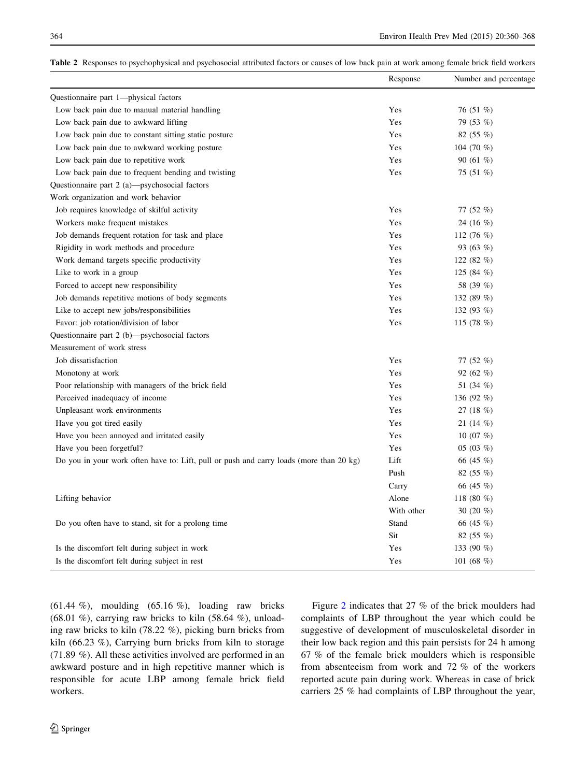|                                                                                         | Response   | Number and percentage |
|-----------------------------------------------------------------------------------------|------------|-----------------------|
| Questionnaire part 1—physical factors                                                   |            |                       |
| Low back pain due to manual material handling                                           | Yes        | 76 (51 %)             |
| Low back pain due to awkward lifting                                                    | Yes        | 79 (53 %)             |
| Low back pain due to constant sitting static posture                                    | Yes        | 82 $(55\%)$           |
| Low back pain due to awkward working posture                                            | Yes        | 104 (70 $%$ )         |
| Low back pain due to repetitive work                                                    | Yes        | 90 $(61\%)$           |
| Low back pain due to frequent bending and twisting                                      | Yes        | 75 (51 %)             |
| Questionnaire part 2 (a)—psychosocial factors                                           |            |                       |
| Work organization and work behavior                                                     |            |                       |
| Job requires knowledge of skilful activity                                              | Yes        | 77 $(52 \%)$          |
| Workers make frequent mistakes                                                          | Yes        | 24 (16 %)             |
| Job demands frequent rotation for task and place                                        | Yes        | 112 $(76\%)$          |
| Rigidity in work methods and procedure                                                  | Yes        | 93 $(63\%)$           |
| Work demand targets specific productivity                                               | Yes        | 122 $(82\%)$          |
| Like to work in a group                                                                 | Yes        | 125 $(84\%)$          |
| Forced to accept new responsibility                                                     | Yes        | 58 (39 %)             |
| Job demands repetitive motions of body segments                                         | Yes        | 132 $(89\%)$          |
| Like to accept new jobs/responsibilities                                                | Yes        | 132 $(93\%)$          |
| Favor: job rotation/division of labor                                                   | Yes        | 115 $(78%)$           |
| Questionnaire part 2 (b)—psychosocial factors                                           |            |                       |
| Measurement of work stress                                                              |            |                       |
| Job dissatisfaction                                                                     | Yes        | 77 (52 %)             |
| Monotony at work                                                                        | Yes        | 92 $(62 \%)$          |
| Poor relationship with managers of the brick field                                      | Yes        | 51 (34 %)             |
| Perceived inadequacy of income                                                          | Yes        | 136 $(92\%)$          |
| Unpleasant work environments                                                            | Yes        | 27 $(18 \%)$          |
| Have you got tired easily                                                               | Yes        | 21 (14 %)             |
| Have you been annoyed and irritated easily                                              | Yes        | 10 $(07 \%)$          |
| Have you been forgetful?                                                                | Yes        | $05(03\%)$            |
| Do you in your work often have to: Lift, pull or push and carry loads (more than 20 kg) | Lift       | 66 (45 %)             |
|                                                                                         | Push       | 82 $(55\%)$           |
|                                                                                         | Carry      | 66 (45 %)             |
| Lifting behavior                                                                        | Alone      | 118 $(80\%$           |
|                                                                                         | With other | 30 $(20\%$            |
| Do you often have to stand, sit for a prolong time                                      | Stand      | 66 (45 %)             |
|                                                                                         | Sit        | $82(55\%)$            |
| Is the discomfort felt during subject in work                                           | Yes        | 133 $(90\%)$          |
| Is the discomfort felt during subject in rest                                           | Yes        | 101 (68 $%$ )         |

<span id="page-4-0"></span>

|  |  |  |  |  | Table 2 Responses to psychophysical and psychosocial attributed factors or causes of low back pain at work among female brick field workers |  |  |  |
|--|--|--|--|--|---------------------------------------------------------------------------------------------------------------------------------------------|--|--|--|
|--|--|--|--|--|---------------------------------------------------------------------------------------------------------------------------------------------|--|--|--|

(61.44 %), moulding (65.16 %), loading raw bricks (68.01 %), carrying raw bricks to kiln (58.64 %), unloading raw bricks to kiln (78.22 %), picking burn bricks from kiln (66.23 %), Carrying burn bricks from kiln to storage (71.89 %). All these activities involved are performed in an awkward posture and in high repetitive manner which is responsible for acute LBP among female brick field workers.

Figure [2](#page-6-0) indicates that 27 % of the brick moulders had complaints of LBP throughout the year which could be suggestive of development of musculoskeletal disorder in their low back region and this pain persists for 24 h among 67 % of the female brick moulders which is responsible from absenteeism from work and 72 % of the workers reported acute pain during work. Whereas in case of brick carriers 25 % had complaints of LBP throughout the year,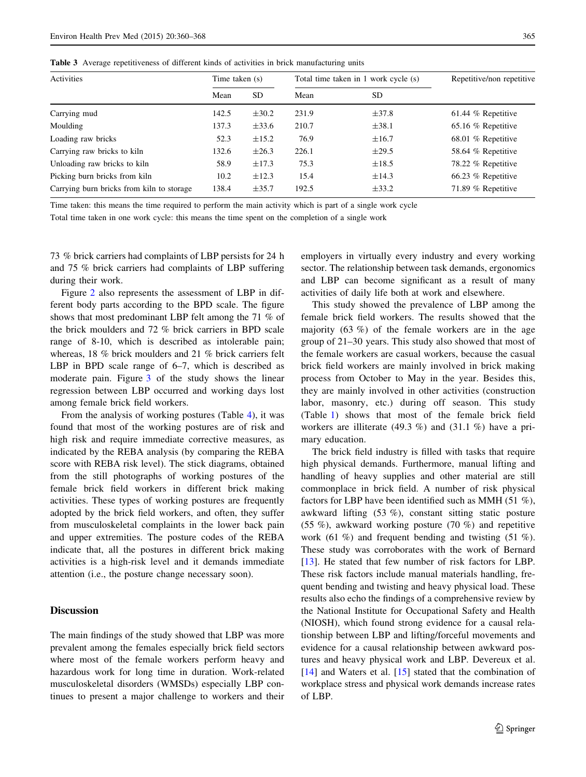<span id="page-5-0"></span>Table 3 Average repetitiveness of different kinds of activities in brick manufacturing units

| Activities                                | Time taken (s) |            |       | Total time taken in 1 work cycle (s) | Repetitive/non repetitive |  |  |
|-------------------------------------------|----------------|------------|-------|--------------------------------------|---------------------------|--|--|
|                                           | Mean           | <b>SD</b>  | Mean  | SD.                                  |                           |  |  |
| Carrying mud                              | 142.5          | $\pm 30.2$ | 231.9 | $\pm$ 37.8                           | 61.44 $%$ Repetitive      |  |  |
| Moulding                                  | 137.3          | $\pm$ 33.6 | 210.7 | $\pm$ 38.1                           | 65.16 % Repetitive        |  |  |
| Loading raw bricks                        | 52.3           | $\pm 15.2$ | 76.9  | $\pm 16.7$                           | 68.01 $%$ Repetitive      |  |  |
| Carrying raw bricks to kiln               | 132.6          | $\pm 26.3$ | 226.1 | $\pm 29.5$                           | 58.64 % Repetitive        |  |  |
| Unloading raw bricks to kiln              | 58.9           | $\pm 17.3$ | 75.3  | $\pm 18.5$                           | 78.22 % Repetitive        |  |  |
| Picking burn bricks from kiln             | 10.2           | $\pm 12.3$ | 15.4  | $\pm 14.3$                           | 66.23 $%$ Repetitive      |  |  |
| Carrying burn bricks from kiln to storage | 138.4          | $\pm$ 35.7 | 192.5 | $\pm$ 33.2                           | 71.89 % Repetitive        |  |  |

Time taken: this means the time required to perform the main activity which is part of a single work cycle

Total time taken in one work cycle: this means the time spent on the completion of a single work

73 % brick carriers had complaints of LBP persists for 24 h and 75 % brick carriers had complaints of LBP suffering during their work.

Figure [2](#page-6-0) also represents the assessment of LBP in different body parts according to the BPD scale. The figure shows that most predominant LBP felt among the 71 % of the brick moulders and 72 % brick carriers in BPD scale range of 8-10, which is described as intolerable pain; whereas, 18 % brick moulders and 21 % brick carriers felt LBP in BPD scale range of 6–7, which is described as moderate pain. Figure [3](#page-6-0) of the study shows the linear regression between LBP occurred and working days lost among female brick field workers.

From the analysis of working postures (Table [4](#page-7-0)), it was found that most of the working postures are of risk and high risk and require immediate corrective measures, as indicated by the REBA analysis (by comparing the REBA score with REBA risk level). The stick diagrams, obtained from the still photographs of working postures of the female brick field workers in different brick making activities. These types of working postures are frequently adopted by the brick field workers, and often, they suffer from musculoskeletal complaints in the lower back pain and upper extremities. The posture codes of the REBA indicate that, all the postures in different brick making activities is a high-risk level and it demands immediate attention (i.e., the posture change necessary soon).

#### **Discussion**

The main findings of the study showed that LBP was more prevalent among the females especially brick field sectors where most of the female workers perform heavy and hazardous work for long time in duration. Work-related musculoskeletal disorders (WMSDs) especially LBP continues to present a major challenge to workers and their employers in virtually every industry and every working sector. The relationship between task demands, ergonomics and LBP can become significant as a result of many activities of daily life both at work and elsewhere.

This study showed the prevalence of LBP among the female brick field workers. The results showed that the majority (63 %) of the female workers are in the age group of 21–30 years. This study also showed that most of the female workers are casual workers, because the casual brick field workers are mainly involved in brick making process from October to May in the year. Besides this, they are mainly involved in other activities (construction labor, masonry, etc.) during off season. This study (Table [1\)](#page-3-0) shows that most of the female brick field workers are illiterate (49.3 %) and (31.1 %) have a primary education.

The brick field industry is filled with tasks that require high physical demands. Furthermore, manual lifting and handling of heavy supplies and other material are still commonplace in brick field. A number of risk physical factors for LBP have been identified such as MMH (51 %), awkward lifting (53 %), constant sitting static posture (55 %), awkward working posture (70 %) and repetitive work (61 %) and frequent bending and twisting (51 %). These study was corroborates with the work of Bernard [\[13](#page-8-0)]. He stated that few number of risk factors for LBP. These risk factors include manual materials handling, frequent bending and twisting and heavy physical load. These results also echo the findings of a comprehensive review by the National Institute for Occupational Safety and Health (NIOSH), which found strong evidence for a causal relationship between LBP and lifting/forceful movements and evidence for a causal relationship between awkward postures and heavy physical work and LBP. Devereux et al. [\[14](#page-8-0)] and Waters et al. [[15\]](#page-8-0) stated that the combination of workplace stress and physical work demands increase rates of LBP.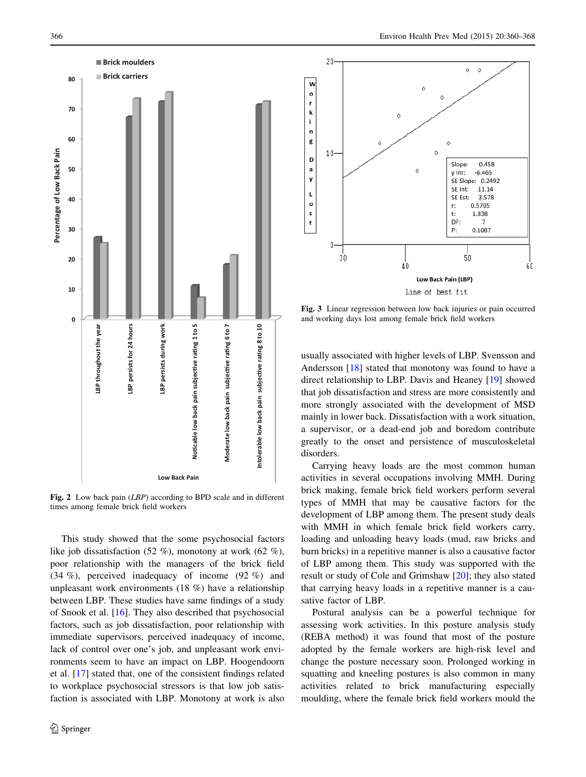<span id="page-6-0"></span>

Fig. 2 Low back pain (LBP) according to BPD scale and in different times among female brick field workers

This study showed that the some psychosocial factors like job dissatisfaction (52 %), monotony at work (62 %), poor relationship with the managers of the brick field (34 %), perceived inadequacy of income (92 %) and unpleasant work environments (18 %) have a relationship between LBP. These studies have same findings of a study of Snook et al. [[16\]](#page-8-0). They also described that psychosocial factors, such as job dissatisfaction, poor relationship with immediate supervisors, perceived inadequacy of income, lack of control over one's job, and unpleasant work environments seem to have an impact on LBP. Hoogendoorn et al. [\[17](#page-8-0)] stated that, one of the consistent findings related to workplace psychosocial stressors is that low job satisfaction is associated with LBP. Monotony at work is also



Fig. 3 Linear regression between low back injuries or pain occurred and working days lost among female brick field workers

usually associated with higher levels of LBP. Svensson and Andersson [\[18](#page-8-0)] stated that monotony was found to have a direct relationship to LBP. Davis and Heaney [\[19](#page-8-0)] showed that job dissatisfaction and stress are more consistently and more strongly associated with the development of MSD mainly in lower back. Dissatisfaction with a work situation, a supervisor, or a dead-end job and boredom contribute greatly to the onset and persistence of musculoskeletal disorders.

Carrying heavy loads are the most common human activities in several occupations involving MMH. During brick making, female brick field workers perform several types of MMH that may be causative factors for the development of LBP among them. The present study deals with MMH in which female brick field workers carry, loading and unloading heavy loads (mud, raw bricks and burn bricks) in a repetitive manner is also a causative factor of LBP among them. This study was supported with the result or study of Cole and Grimshaw [\[20](#page-8-0)]; they also stated that carrying heavy loads in a repetitive manner is a causative factor of LBP.

Postural analysis can be a powerful technique for assessing work activities. In this posture analysis study (REBA method) it was found that most of the posture adopted by the female workers are high-risk level and change the posture necessary soon. Prolonged working in squatting and kneeling postures is also common in many activities related to brick manufacturing especially moulding, where the female brick field workers mould the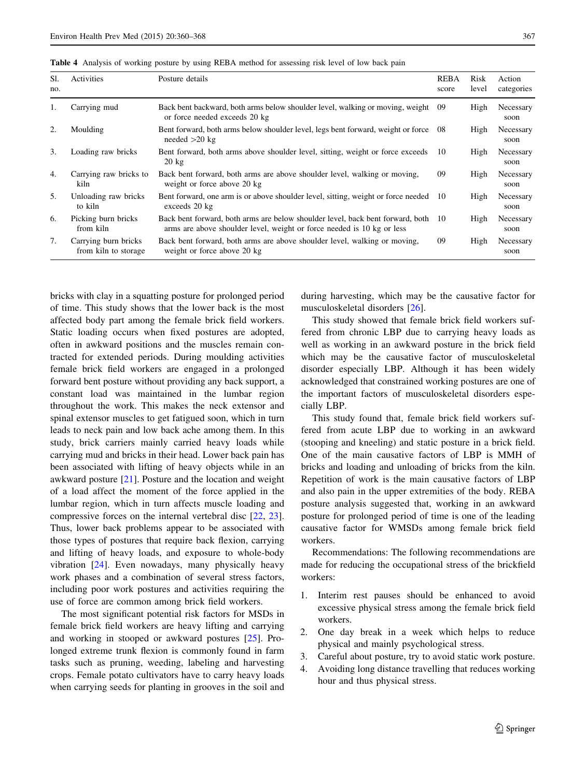<span id="page-7-0"></span>

|  | Table 4 Analysis of working posture by using REBA method for assessing risk level of low back pain |  |  |  |  |  |  |
|--|----------------------------------------------------------------------------------------------------|--|--|--|--|--|--|
|  |                                                                                                    |  |  |  |  |  |  |

| Sl.<br>no. | Activities                                   | Posture details                                                                                                                                          | <b>REBA</b><br>score | Risk<br>level | Action<br>categories |
|------------|----------------------------------------------|----------------------------------------------------------------------------------------------------------------------------------------------------------|----------------------|---------------|----------------------|
| 1.         | Carrying mud                                 | Back bent backward, both arms below shoulder level, walking or moving, weight<br>or force needed exceeds 20 kg                                           | -09                  | High          | Necessary<br>soon    |
| 2.         | Moulding                                     | Bent forward, both arms below shoulder level, legs bent forward, weight or force<br>needed $>20$ kg                                                      | -08                  | High          | Necessary<br>soon    |
| 3.         | Loading raw bricks                           | Bent forward, both arms above shoulder level, sitting, weight or force exceeds<br>$20 \text{ kg}$                                                        | -10                  | High          | Necessary<br>soon    |
| 4.         | Carrying raw bricks to<br>kiln               | Back bent forward, both arms are above shoulder level, walking or moving,<br>weight or force above 20 kg                                                 | 09                   | High          | Necessary<br>soon    |
| 5.         | Unloading raw bricks<br>to kiln              | Bent forward, one arm is or above shoulder level, sitting, weight or force needed<br>exceeds 20 kg                                                       | - 10                 | High          | Necessary<br>soon    |
| 6.         | Picking burn bricks<br>from kiln             | Back bent forward, both arms are below shoulder level, back bent forward, both<br>arms are above shoulder level, weight or force needed is 10 kg or less | 10                   | High          | Necessary<br>soon    |
| 7.         | Carrying burn bricks<br>from kiln to storage | Back bent forward, both arms are above shoulder level, walking or moving,<br>weight or force above 20 kg                                                 | 09                   | High          | Necessary<br>soon    |

bricks with clay in a squatting posture for prolonged period of time. This study shows that the lower back is the most affected body part among the female brick field workers. Static loading occurs when fixed postures are adopted, often in awkward positions and the muscles remain contracted for extended periods. During moulding activities female brick field workers are engaged in a prolonged forward bent posture without providing any back support, a constant load was maintained in the lumbar region throughout the work. This makes the neck extensor and spinal extensor muscles to get fatigued soon, which in turn leads to neck pain and low back ache among them. In this study, brick carriers mainly carried heavy loads while carrying mud and bricks in their head. Lower back pain has been associated with lifting of heavy objects while in an awkward posture [[21\]](#page-8-0). Posture and the location and weight of a load affect the moment of the force applied in the lumbar region, which in turn affects muscle loading and compressive forces on the internal vertebral disc [\[22](#page-8-0), [23](#page-8-0)]. Thus, lower back problems appear to be associated with those types of postures that require back flexion, carrying and lifting of heavy loads, and exposure to whole-body vibration [[24\]](#page-8-0). Even nowadays, many physically heavy work phases and a combination of several stress factors, including poor work postures and activities requiring the use of force are common among brick field workers.

The most significant potential risk factors for MSDs in female brick field workers are heavy lifting and carrying and working in stooped or awkward postures [[25\]](#page-8-0). Prolonged extreme trunk flexion is commonly found in farm tasks such as pruning, weeding, labeling and harvesting crops. Female potato cultivators have to carry heavy loads when carrying seeds for planting in grooves in the soil and during harvesting, which may be the causative factor for musculoskeletal disorders [\[26](#page-8-0)].

This study showed that female brick field workers suffered from chronic LBP due to carrying heavy loads as well as working in an awkward posture in the brick field which may be the causative factor of musculoskeletal disorder especially LBP. Although it has been widely acknowledged that constrained working postures are one of the important factors of musculoskeletal disorders especially LBP.

This study found that, female brick field workers suffered from acute LBP due to working in an awkward (stooping and kneeling) and static posture in a brick field. One of the main causative factors of LBP is MMH of bricks and loading and unloading of bricks from the kiln. Repetition of work is the main causative factors of LBP and also pain in the upper extremities of the body. REBA posture analysis suggested that, working in an awkward posture for prolonged period of time is one of the leading causative factor for WMSDs among female brick field workers.

Recommendations: The following recommendations are made for reducing the occupational stress of the brickfield workers:

- 1. Interim rest pauses should be enhanced to avoid excessive physical stress among the female brick field workers.
- 2. One day break in a week which helps to reduce physical and mainly psychological stress.
- 3. Careful about posture, try to avoid static work posture.
- 4. Avoiding long distance travelling that reduces working hour and thus physical stress.